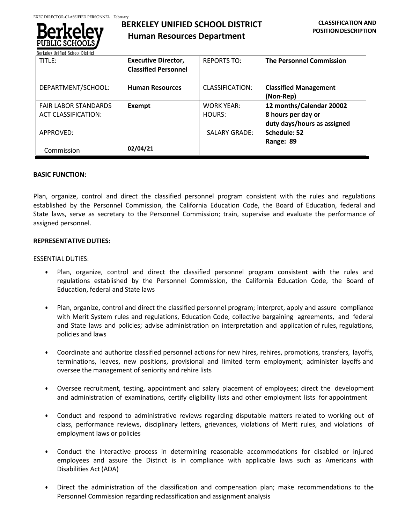

# **BERKELEY UNIFIED SCHOOL DISTRICT Human Resources Department**

| TITLE:                                                    | <b>Executive Director,</b><br><b>Classified Personnel</b> | <b>REPORTS TO:</b>          | <b>The Personnel Commission</b>                                               |
|-----------------------------------------------------------|-----------------------------------------------------------|-----------------------------|-------------------------------------------------------------------------------|
| DEPARTMENT/SCHOOL:                                        | <b>Human Resources</b>                                    | <b>CLASSIFICATION:</b>      | <b>Classified Management</b><br>(Non-Rep)                                     |
| <b>FAIR LABOR STANDARDS</b><br><b>ACT CLASSIFICATION:</b> | Exempt                                                    | <b>WORK YEAR:</b><br>HOURS: | 12 months/Calendar 20002<br>8 hours per day or<br>duty days/hours as assigned |
| APPROVED:<br>Commission                                   | 02/04/21                                                  | <b>SALARY GRADE:</b>        | Schedule: 52<br>Range: 89                                                     |

## **BASIC FUNCTION:**

Plan, organize, control and direct the classified personnel program consistent with the rules and regulations established by the Personnel Commission, the California Education Code, the Board of Education, federal and State laws, serve as secretary to the Personnel Commission; train, supervise and evaluate the performance of assigned personnel.

#### **REPRESENTATIVE DUTIES:**

#### ESSENTIAL DUTIES:

- Plan, organize, control and direct the classified personnel program consistent with the rules and regulations established by the Personnel Commission, the California Education Code, the Board of Education, federal and State laws
- Plan, organize, control and direct the classified personnel program; interpret, apply and assure compliance with Merit System rules and regulations, Education Code, collective bargaining agreements, and federal and State laws and policies; advise administration on interpretation and application of rules, regulations, policies and laws
- Coordinate and authorize classified personnel actions for new hires, rehires, promotions, transfers, layoffs, terminations, leaves, new positions, provisional and limited term employment; administer layoffs and oversee the management of seniority and rehire lists
- Oversee recruitment, testing, appointment and salary placement of employees; direct the development and administration of examinations, certify eligibility lists and other employment lists for appointment
- Conduct and respond to administrative reviews regarding disputable matters related to working out of class, performance reviews, disciplinary letters, grievances, violations of Merit rules, and violations of employment laws or policies
- Conduct the interactive process in determining reasonable accommodations for disabled or injured employees and assure the District is in compliance with applicable laws such as Americans with Disabilities Act (ADA)
- Direct the administration of the classification and compensation plan; make recommendations to the Personnel Commission regarding reclassification and assignment analysis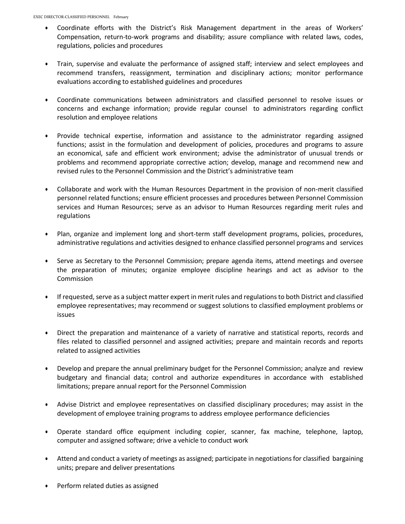- Coordinate efforts with the District's Risk Management department in the areas of Workers' Compensation, return-to-work programs and disability; assure compliance with related laws, codes, regulations, policies and procedures
- Train, supervise and evaluate the performance of assigned staff; interview and select employees and recommend transfers, reassignment, termination and disciplinary actions; monitor performance evaluations according to established guidelines and procedures
- Coordinate communications between administrators and classified personnel to resolve issues or concerns and exchange information; provide regular counsel to administrators regarding conflict resolution and employee relations
- Provide technical expertise, information and assistance to the administrator regarding assigned functions; assist in the formulation and development of policies, procedures and programs to assure an economical, safe and efficient work environment; advise the administrator of unusual trends or problems and recommend appropriate corrective action; develop, manage and recommend new and revised rules to the Personnel Commission and the District's administrative team
- Collaborate and work with the Human Resources Department in the provision of non-merit classified personnel related functions; ensure efficient processes and procedures between Personnel Commission services and Human Resources; serve as an advisor to Human Resources regarding merit rules and regulations
- Plan, organize and implement long and short-term staff development programs, policies, procedures, administrative regulations and activities designed to enhance classified personnel programs and services
- Serve as Secretary to the Personnel Commission; prepare agenda items, attend meetings and oversee the preparation of minutes; organize employee discipline hearings and act as advisor to the Commission
- If requested, serve as a subject matter expert in merit rules and regulations to both District and classified employee representatives; may recommend or suggest solutions to classified employment problems or issues
- Direct the preparation and maintenance of a variety of narrative and statistical reports, records and files related to classified personnel and assigned activities; prepare and maintain records and reports related to assigned activities
- Develop and prepare the annual preliminary budget for the Personnel Commission; analyze and review budgetary and financial data; control and authorize expenditures in accordance with established limitations; prepare annual report for the Personnel Commission
- Advise District and employee representatives on classified disciplinary procedures; may assist in the development of employee training programs to address employee performance deficiencies
- Operate standard office equipment including copier, scanner, fax machine, telephone, laptop, computer and assigned software; drive a vehicle to conduct work
- Attend and conduct a variety of meetings as assigned; participate in negotiations for classified bargaining units; prepare and deliver presentations
- Perform related duties as assigned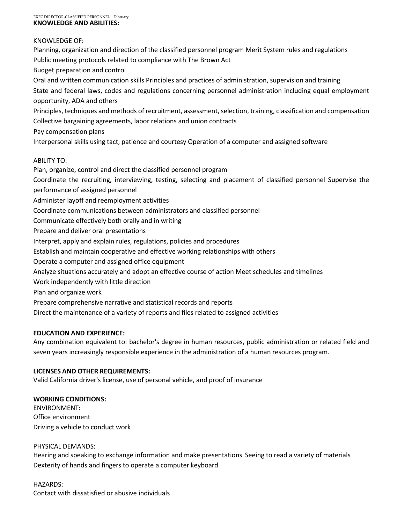#### KNOWLEDGE OF:

Planning, organization and direction of the classified personnel program Merit System rules and regulations Public meeting protocols related to compliance with The Brown Act Budget preparation and control Oral and written communication skills Principles and practices of administration, supervision and training State and federal laws, codes and regulations concerning personnel administration including equal employment opportunity, ADA and others Principles, techniques and methods of recruitment, assessment,selection, training, classification and compensation Collective bargaining agreements, labor relations and union contracts Pay compensation plans Interpersonal skills using tact, patience and courtesy Operation of a computer and assigned software

# ABILITY TO:

Plan, organize, control and direct the classified personnel program Coordinate the recruiting, interviewing, testing, selecting and placement of classified personnel Supervise the performance of assigned personnel Administer layoff and reemployment activities Coordinate communications between administrators and classified personnel Communicate effectively both orally and in writing Prepare and deliver oral presentations Interpret, apply and explain rules, regulations, policies and procedures Establish and maintain cooperative and effective working relationships with others Operate a computer and assigned office equipment Analyze situations accurately and adopt an effective course of action Meet schedules and timelines Work independently with little direction Plan and organize work Prepare comprehensive narrative and statistical records and reports Direct the maintenance of a variety of reports and files related to assigned activities

## **EDUCATION AND EXPERIENCE:**

Any combination equivalent to: bachelor's degree in human resources, public administration or related field and seven years increasingly responsible experience in the administration of a human resources program.

## **LICENSES AND OTHER REQUIREMENTS:**

Valid California driver's license, use of personal vehicle, and proof of insurance

## **WORKING CONDITIONS:**

ENVIRONMENT: Office environment Driving a vehicle to conduct work

## PHYSICAL DEMANDS:

Hearing and speaking to exchange information and make presentations Seeing to read a variety of materials Dexterity of hands and fingers to operate a computer keyboard

# HAZARDS:

Contact with dissatisfied or abusive individuals